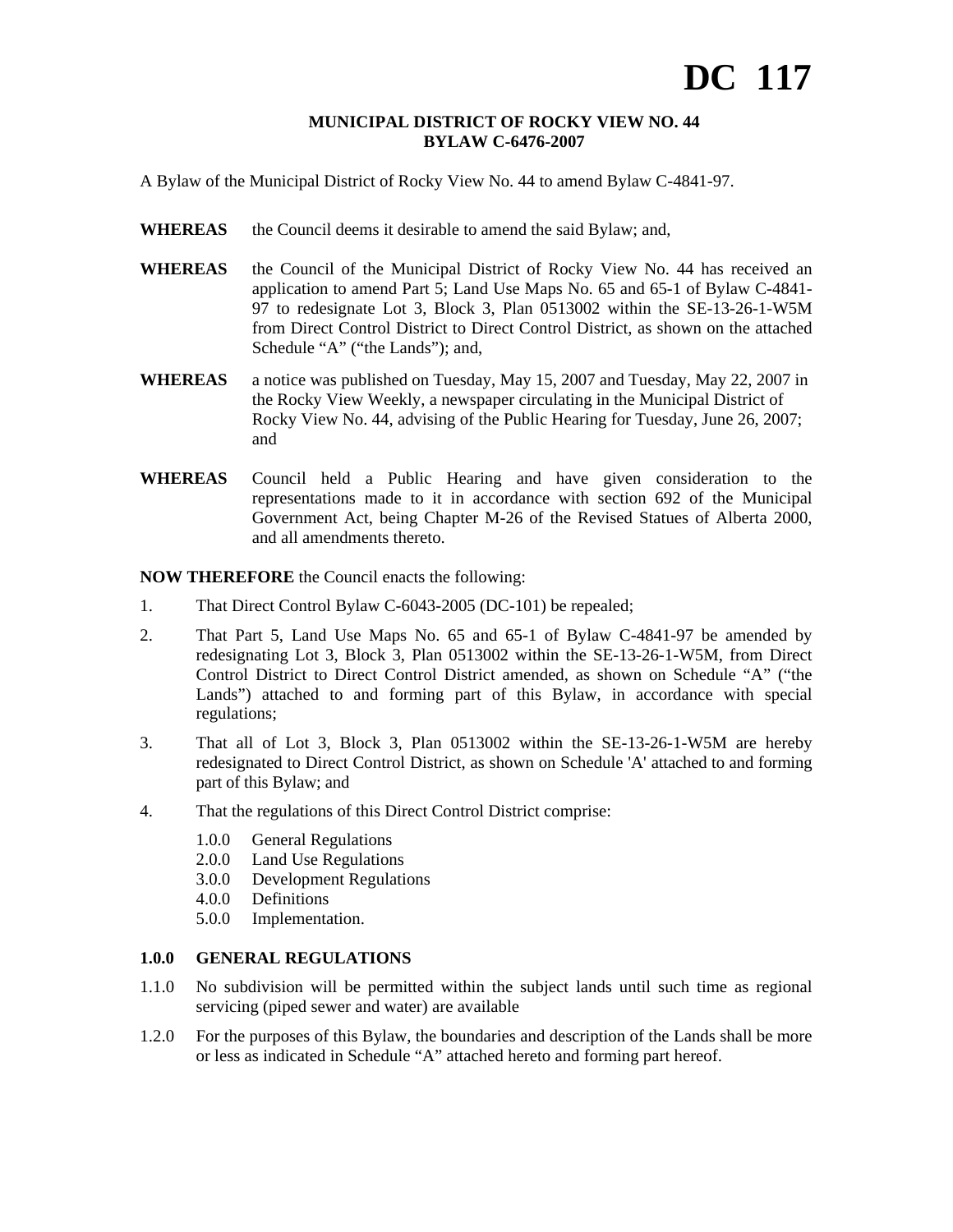#### **MUNICIPAL DISTRICT OF ROCKY VIEW NO. 44 BYLAW C-6476-2007**

A Bylaw of the Municipal District of Rocky View No. 44 to amend Bylaw C-4841-97.

- WHEREAS the Council deems it desirable to amend the said Bylaw; and,
- **WHEREAS** the Council of the Municipal District of Rocky View No. 44 has received an application to amend Part 5; Land Use Maps No. 65 and 65-1 of Bylaw C-4841- 97 to redesignate Lot 3, Block 3, Plan 0513002 within the SE-13-26-1-W5M from Direct Control District to Direct Control District, as shown on the attached Schedule "A" ("the Lands"); and,
- **WHEREAS** a notice was published on Tuesday, May 15, 2007 and Tuesday, May 22, 2007 in the Rocky View Weekly, a newspaper circulating in the Municipal District of Rocky View No. 44, advising of the Public Hearing for Tuesday, June 26, 2007; and
- **WHEREAS** Council held a Public Hearing and have given consideration to the representations made to it in accordance with section 692 of the Municipal Government Act, being Chapter M-26 of the Revised Statues of Alberta 2000, and all amendments thereto.

**NOW THEREFORE** the Council enacts the following:

- 1. That Direct Control Bylaw C-6043-2005 (DC-101) be repealed;
- 2. That Part 5, Land Use Maps No. 65 and 65-1 of Bylaw C-4841-97 be amended by redesignating Lot 3, Block 3, Plan 0513002 within the SE-13-26-1-W5M, from Direct Control District to Direct Control District amended, as shown on Schedule "A" ("the Lands") attached to and forming part of this Bylaw, in accordance with special regulations;
- 3. That all of Lot 3, Block 3, Plan 0513002 within the SE-13-26-1-W5M are hereby redesignated to Direct Control District, as shown on Schedule 'A' attached to and forming part of this Bylaw; and
- 4. That the regulations of this Direct Control District comprise:
	- 1.0.0 General Regulations
	- 2.0.0 Land Use Regulations
	- 3.0.0 Development Regulations
	- 4.0.0 Definitions
	- 5.0.0 Implementation.

# **1.0.0 GENERAL REGULATIONS**

- 1.1.0 No subdivision will be permitted within the subject lands until such time as regional servicing (piped sewer and water) are available
- 1.2.0 For the purposes of this Bylaw, the boundaries and description of the Lands shall be more or less as indicated in Schedule "A" attached hereto and forming part hereof.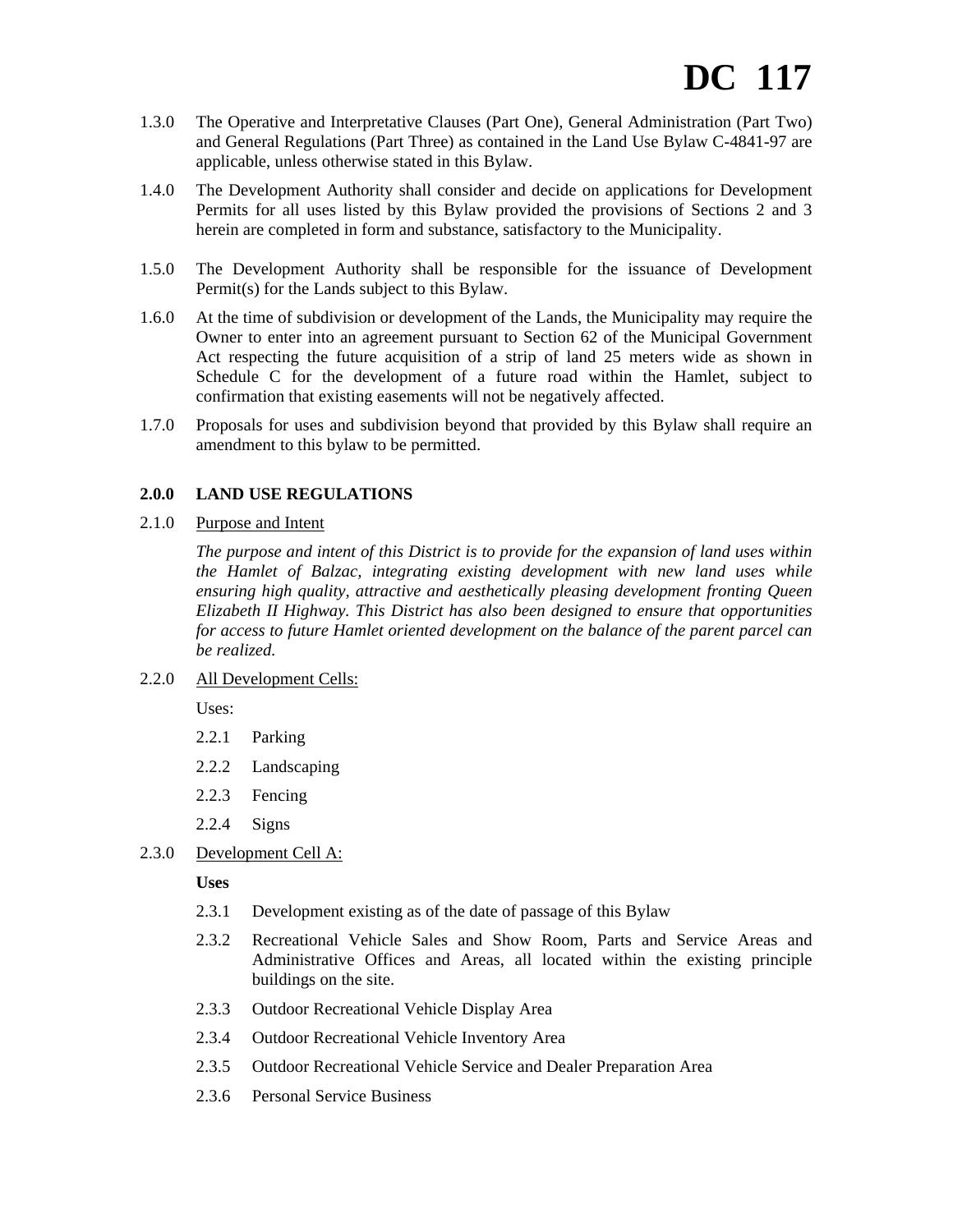- 1.3.0 The Operative and Interpretative Clauses (Part One), General Administration (Part Two) and General Regulations (Part Three) as contained in the Land Use Bylaw C-4841-97 are applicable, unless otherwise stated in this Bylaw.
- 1.4.0 The Development Authority shall consider and decide on applications for Development Permits for all uses listed by this Bylaw provided the provisions of Sections 2 and 3 herein are completed in form and substance, satisfactory to the Municipality.
- 1.5.0 The Development Authority shall be responsible for the issuance of Development Permit(s) for the Lands subject to this Bylaw.
- 1.6.0 At the time of subdivision or development of the Lands, the Municipality may require the Owner to enter into an agreement pursuant to Section 62 of the Municipal Government Act respecting the future acquisition of a strip of land 25 meters wide as shown in Schedule C for the development of a future road within the Hamlet, subject to confirmation that existing easements will not be negatively affected.
- 1.7.0 Proposals for uses and subdivision beyond that provided by this Bylaw shall require an amendment to this bylaw to be permitted.

# **2.0.0 LAND USE REGULATIONS**

2.1.0 Purpose and Intent

*The purpose and intent of this District is to provide for the expansion of land uses within the Hamlet of Balzac, integrating existing development with new land uses while ensuring high quality, attractive and aesthetically pleasing development fronting Queen Elizabeth II Highway. This District has also been designed to ensure that opportunities for access to future Hamlet oriented development on the balance of the parent parcel can be realized.* 

2.2.0 All Development Cells:

Uses:

- 2.2.1 Parking
- 2.2.2 Landscaping
- 2.2.3 Fencing
- 2.2.4 Signs
- 2.3.0 Development Cell A:

**Uses** 

- 2.3.1 Development existing as of the date of passage of this Bylaw
- 2.3.2 Recreational Vehicle Sales and Show Room, Parts and Service Areas and Administrative Offices and Areas, all located within the existing principle buildings on the site.
- 2.3.3 Outdoor Recreational Vehicle Display Area
- 2.3.4 Outdoor Recreational Vehicle Inventory Area
- 2.3.5 Outdoor Recreational Vehicle Service and Dealer Preparation Area
- 2.3.6 Personal Service Business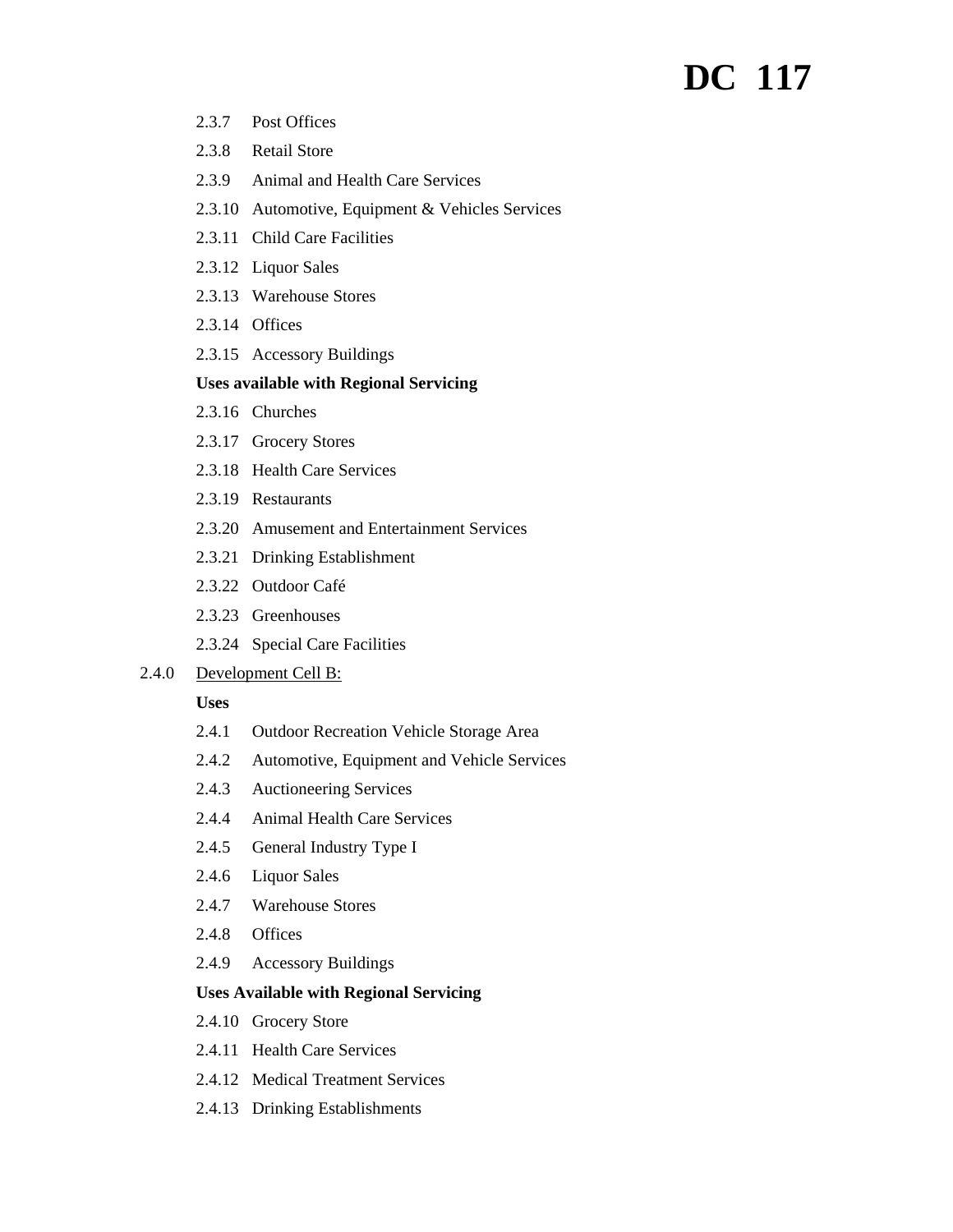# **DC 117**

- 2.3.7 Post Offices
- 2.3.8 Retail Store
- 2.3.9 Animal and Health Care Services
- 2.3.10 Automotive, Equipment & Vehicles Services
- 2.3.11 Child Care Facilities
- 2.3.12 Liquor Sales
- 2.3.13 Warehouse Stores
- 2.3.14 Offices
- 2.3.15 Accessory Buildings

# **Uses available with Regional Servicing**

- 2.3.16 Churches
- 2.3.17 Grocery Stores
- 2.3.18 Health Care Services
- 2.3.19 Restaurants
- 2.3.20 Amusement and Entertainment Services
- 2.3.21 Drinking Establishment
- 2.3.22 Outdoor Café
- 2.3.23 Greenhouses
- 2.3.24 Special Care Facilities

#### 2.4.0 Development Cell B:

#### **Uses**

- 2.4.1 Outdoor Recreation Vehicle Storage Area
- 2.4.2 Automotive, Equipment and Vehicle Services
- 2.4.3 Auctioneering Services
- 2.4.4 Animal Health Care Services
- 2.4.5 General Industry Type I
- 2.4.6 Liquor Sales
- 2.4.7 Warehouse Stores
- 2.4.8 Offices
- 2.4.9 Accessory Buildings

#### **Uses Available with Regional Servicing**

- 2.4.10 Grocery Store
- 2.4.11 Health Care Services
- 2.4.12 Medical Treatment Services
- 2.4.13 Drinking Establishments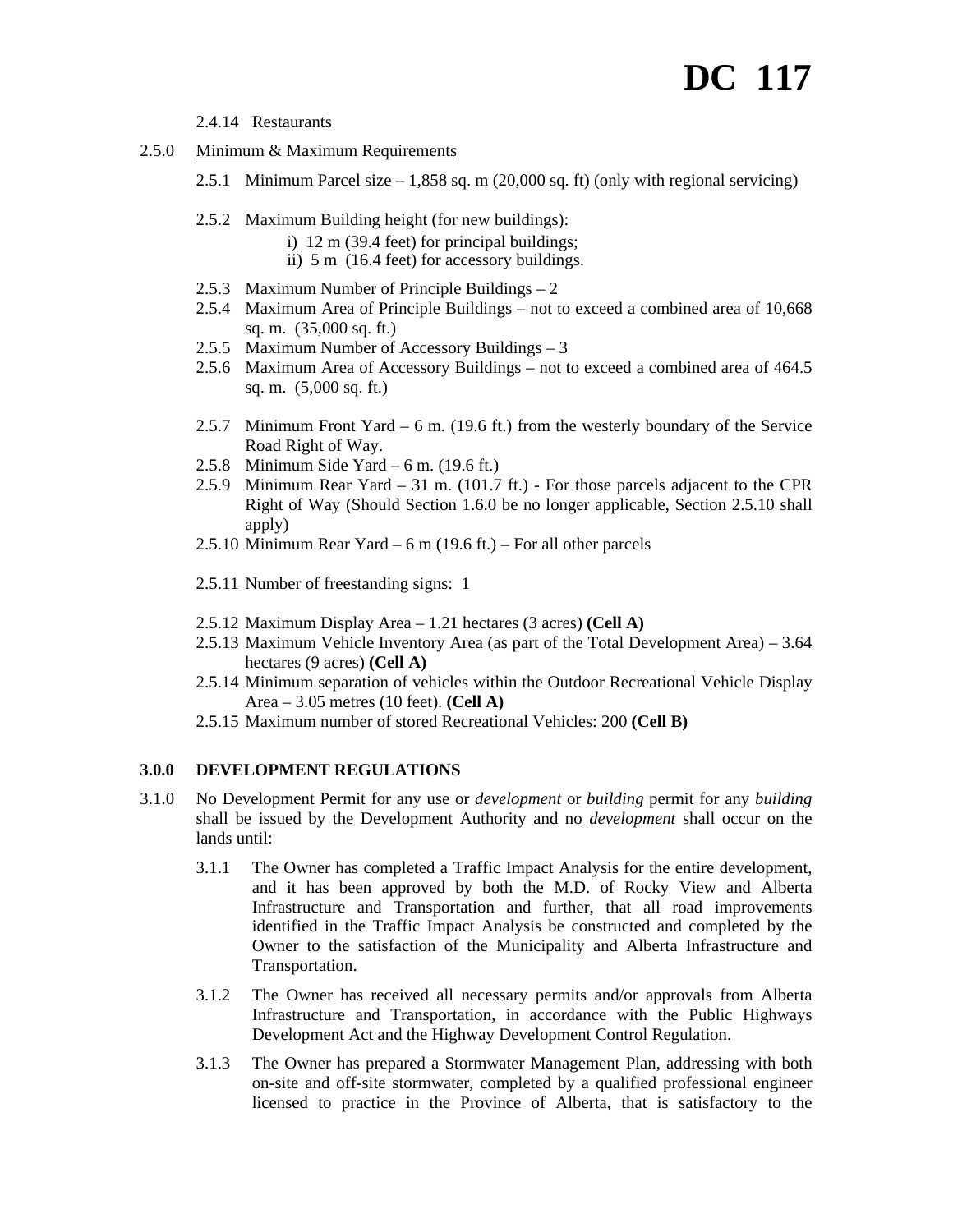# **DC 117**

2.4.14 Restaurants

- 2.5.0 Minimum & Maximum Requirements
	- 2.5.1 Minimum Parcel size 1,858 sq. m (20,000 sq. ft) (only with regional servicing)
	- 2.5.2 Maximum Building height (for new buildings):
		- i) 12 m (39.4 feet) for principal buildings;
		- ii) 5 m (16.4 feet) for accessory buildings.
	- 2.5.3 Maximum Number of Principle Buildings 2
	- 2.5.4 Maximum Area of Principle Buildings not to exceed a combined area of 10,668 sq. m. (35,000 sq. ft.)
	- 2.5.5 Maximum Number of Accessory Buildings 3
	- 2.5.6 Maximum Area of Accessory Buildings not to exceed a combined area of 464.5 sq. m. (5,000 sq. ft.)
	- 2.5.7 Minimum Front Yard 6 m. (19.6 ft.) from the westerly boundary of the Service Road Right of Way.
	- 2.5.8 Minimum Side Yard 6 m.  $(19.6 \text{ ft.})$
	- 2.5.9 Minimum Rear Yard 31 m. (101.7 ft.) For those parcels adjacent to the CPR Right of Way (Should Section 1.6.0 be no longer applicable, Section 2.5.10 shall apply)
	- 2.5.10 Minimum Rear Yard 6 m (19.6 ft.) For all other parcels
	- 2.5.11 Number of freestanding signs: 1
	- 2.5.12 Maximum Display Area 1.21 hectares (3 acres) **(Cell A)**
	- 2.5.13 Maximum Vehicle Inventory Area (as part of the Total Development Area) 3.64 hectares (9 acres) **(Cell A)**
	- 2.5.14 Minimum separation of vehicles within the Outdoor Recreational Vehicle Display Area – 3.05 metres (10 feet). **(Cell A)**
	- 2.5.15 Maximum number of stored Recreational Vehicles: 200 **(Cell B)**

# **3.0.0 DEVELOPMENT REGULATIONS**

- 3.1.0 No Development Permit for any use or *development* or *building* permit for any *building* shall be issued by the Development Authority and no *development* shall occur on the lands until:
	- 3.1.1 The Owner has completed a Traffic Impact Analysis for the entire development, and it has been approved by both the M.D. of Rocky View and Alberta Infrastructure and Transportation and further, that all road improvements identified in the Traffic Impact Analysis be constructed and completed by the Owner to the satisfaction of the Municipality and Alberta Infrastructure and Transportation.
	- 3.1.2 The Owner has received all necessary permits and/or approvals from Alberta Infrastructure and Transportation, in accordance with the Public Highways Development Act and the Highway Development Control Regulation.
	- 3.1.3 The Owner has prepared a Stormwater Management Plan, addressing with both on-site and off-site stormwater, completed by a qualified professional engineer licensed to practice in the Province of Alberta, that is satisfactory to the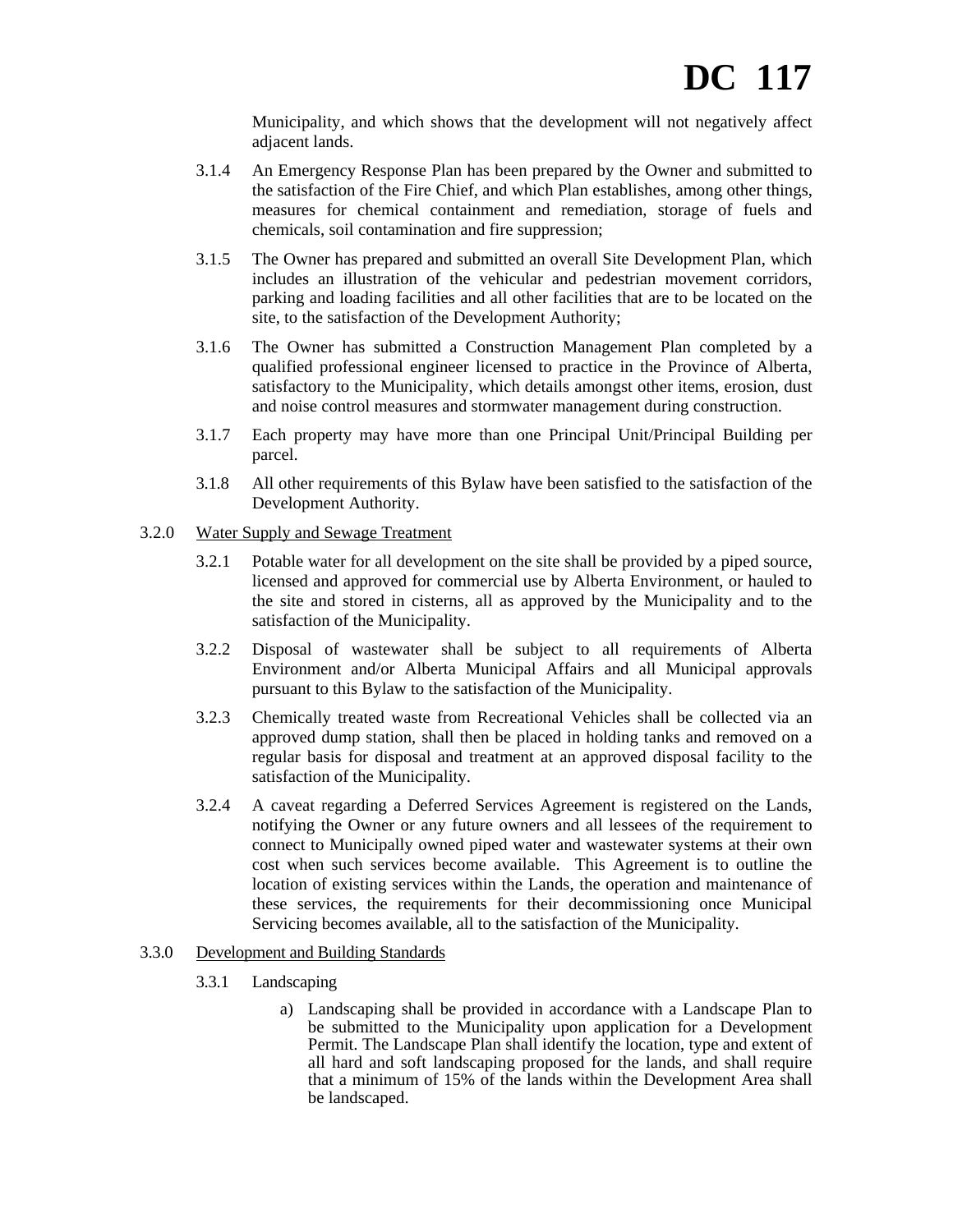Municipality, and which shows that the development will not negatively affect adjacent lands.

- 3.1.4 An Emergency Response Plan has been prepared by the Owner and submitted to the satisfaction of the Fire Chief, and which Plan establishes, among other things, measures for chemical containment and remediation, storage of fuels and chemicals, soil contamination and fire suppression;
- 3.1.5 The Owner has prepared and submitted an overall Site Development Plan, which includes an illustration of the vehicular and pedestrian movement corridors, parking and loading facilities and all other facilities that are to be located on the site, to the satisfaction of the Development Authority;
- 3.1.6 The Owner has submitted a Construction Management Plan completed by a qualified professional engineer licensed to practice in the Province of Alberta, satisfactory to the Municipality, which details amongst other items, erosion, dust and noise control measures and stormwater management during construction.
- 3.1.7 Each property may have more than one Principal Unit/Principal Building per parcel.
- 3.1.8 All other requirements of this Bylaw have been satisfied to the satisfaction of the Development Authority.
- 3.2.0 Water Supply and Sewage Treatment
	- 3.2.1 Potable water for all development on the site shall be provided by a piped source, licensed and approved for commercial use by Alberta Environment, or hauled to the site and stored in cisterns, all as approved by the Municipality and to the satisfaction of the Municipality.
	- 3.2.2 Disposal of wastewater shall be subject to all requirements of Alberta Environment and/or Alberta Municipal Affairs and all Municipal approvals pursuant to this Bylaw to the satisfaction of the Municipality.
	- 3.2.3 Chemically treated waste from Recreational Vehicles shall be collected via an approved dump station, shall then be placed in holding tanks and removed on a regular basis for disposal and treatment at an approved disposal facility to the satisfaction of the Municipality.
	- 3.2.4 A caveat regarding a Deferred Services Agreement is registered on the Lands, notifying the Owner or any future owners and all lessees of the requirement to connect to Municipally owned piped water and wastewater systems at their own cost when such services become available. This Agreement is to outline the location of existing services within the Lands, the operation and maintenance of these services, the requirements for their decommissioning once Municipal Servicing becomes available, all to the satisfaction of the Municipality.
- 3.3.0 Development and Building Standards
	- 3.3.1 Landscaping
		- a) Landscaping shall be provided in accordance with a Landscape Plan to be submitted to the Municipality upon application for a Development Permit. The Landscape Plan shall identify the location, type and extent of all hard and soft landscaping proposed for the lands, and shall require that a minimum of 15% of the lands within the Development Area shall be landscaped.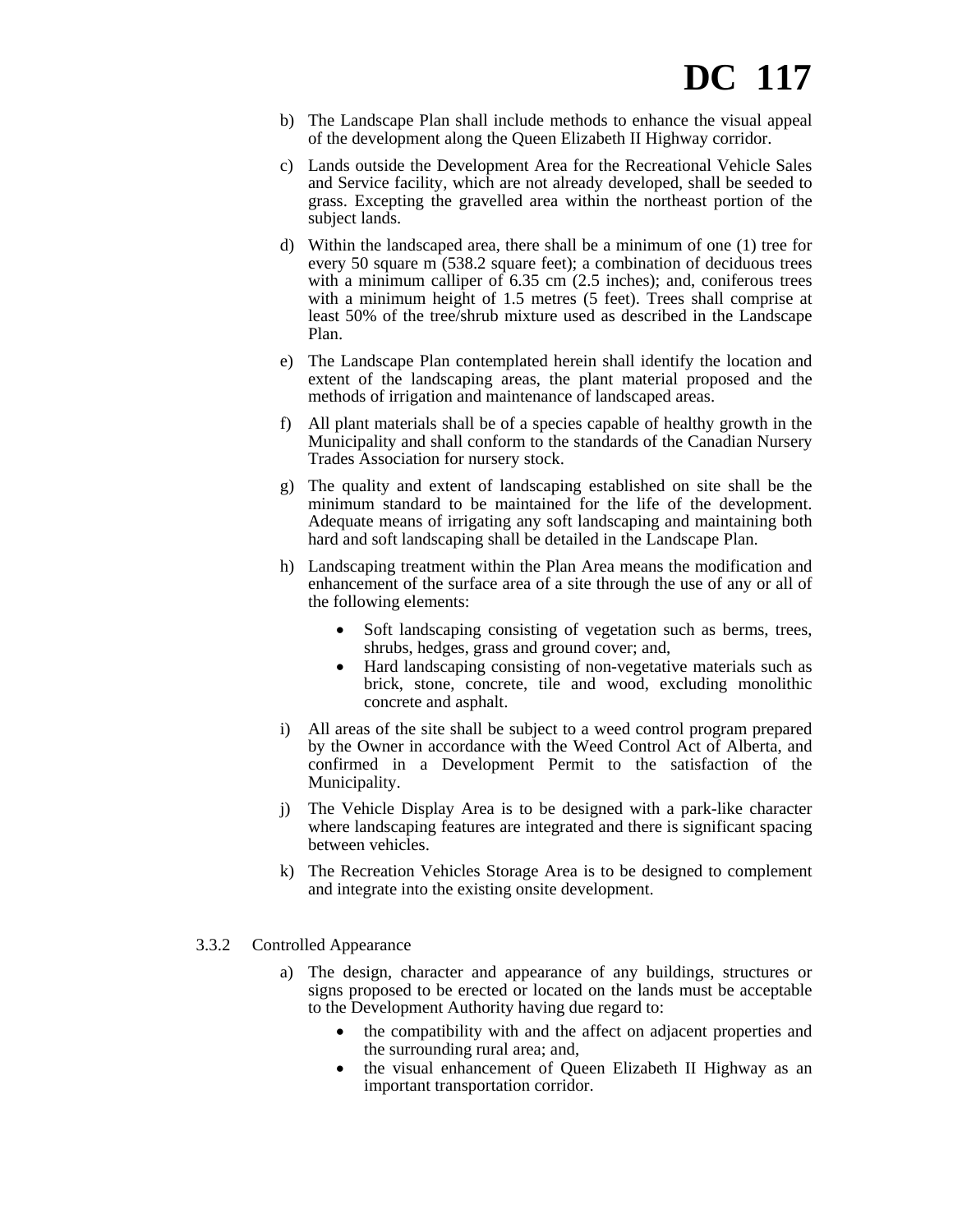- b) The Landscape Plan shall include methods to enhance the visual appeal of the development along the Queen Elizabeth II Highway corridor.
- c) Lands outside the Development Area for the Recreational Vehicle Sales and Service facility, which are not already developed, shall be seeded to grass. Excepting the gravelled area within the northeast portion of the subject lands.
- d) Within the landscaped area, there shall be a minimum of one (1) tree for every 50 square m (538.2 square feet); a combination of deciduous trees with a minimum calliper of 6.35 cm (2.5 inches); and, coniferous trees with a minimum height of 1.5 metres (5 feet). Trees shall comprise at least 50% of the tree/shrub mixture used as described in the Landscape Plan.
- e) The Landscape Plan contemplated herein shall identify the location and extent of the landscaping areas, the plant material proposed and the methods of irrigation and maintenance of landscaped areas.
- f) All plant materials shall be of a species capable of healthy growth in the Municipality and shall conform to the standards of the Canadian Nursery Trades Association for nursery stock.
- g) The quality and extent of landscaping established on site shall be the minimum standard to be maintained for the life of the development. Adequate means of irrigating any soft landscaping and maintaining both hard and soft landscaping shall be detailed in the Landscape Plan.
- h) Landscaping treatment within the Plan Area means the modification and enhancement of the surface area of a site through the use of any or all of the following elements:
	- Soft landscaping consisting of vegetation such as berms, trees, shrubs, hedges, grass and ground cover; and,
	- Hard landscaping consisting of non-vegetative materials such as brick, stone, concrete, tile and wood, excluding monolithic concrete and asphalt.
- i) All areas of the site shall be subject to a weed control program prepared by the Owner in accordance with the Weed Control Act of Alberta, and confirmed in a Development Permit to the satisfaction of the Municipality.
- j) The Vehicle Display Area is to be designed with a park-like character where landscaping features are integrated and there is significant spacing between vehicles.
- k) The Recreation Vehicles Storage Area is to be designed to complement and integrate into the existing onsite development.
- 3.3.2 Controlled Appearance
	- a) The design, character and appearance of any buildings, structures or signs proposed to be erected or located on the lands must be acceptable to the Development Authority having due regard to:
		- the compatibility with and the affect on adjacent properties and the surrounding rural area; and,
		- the visual enhancement of Queen Elizabeth II Highway as an important transportation corridor.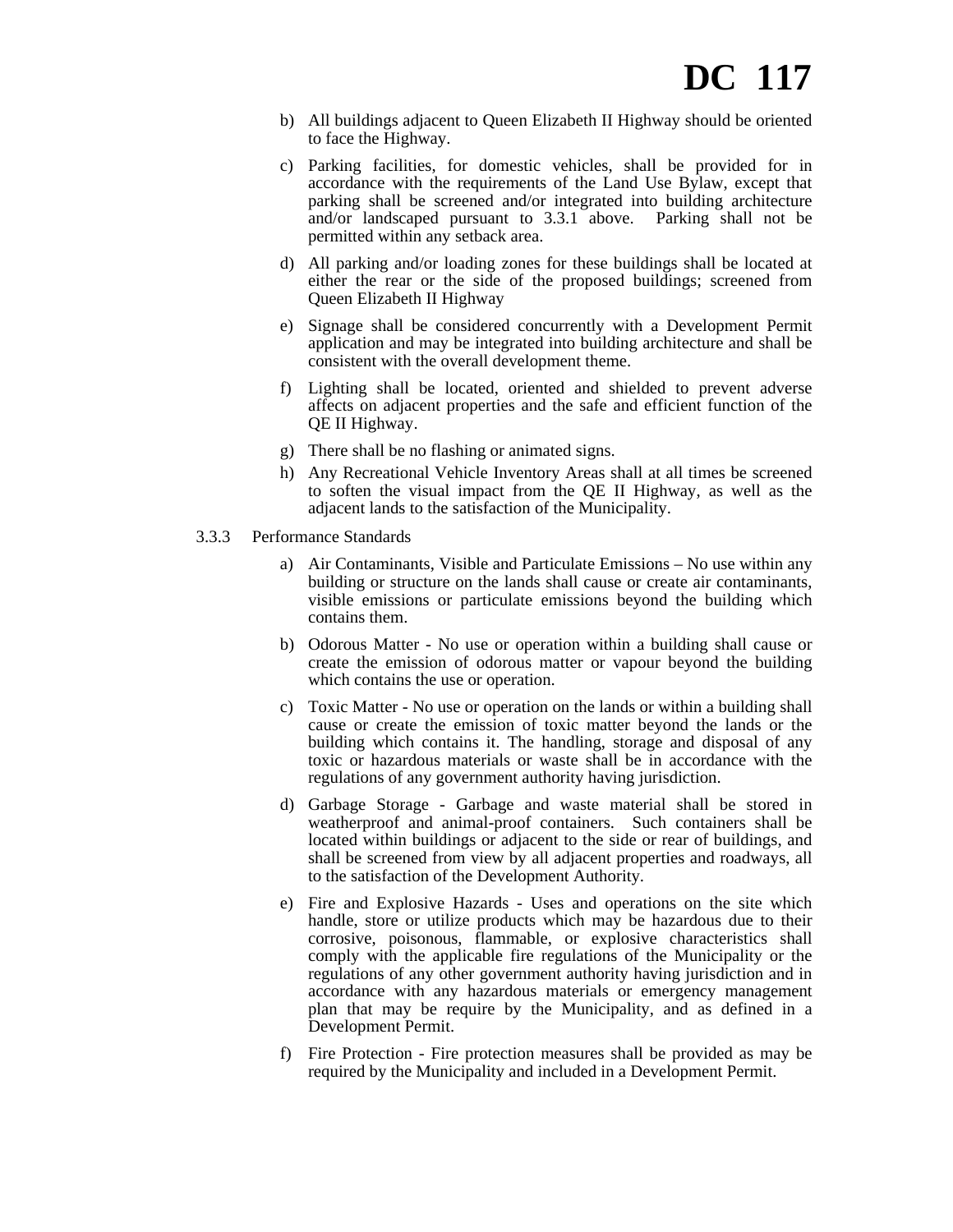- b) All buildings adjacent to Queen Elizabeth II Highway should be oriented to face the Highway.
- c) Parking facilities, for domestic vehicles, shall be provided for in accordance with the requirements of the Land Use Bylaw, except that parking shall be screened and/or integrated into building architecture and/or landscaped pursuant to 3.3.1 above. Parking shall not be permitted within any setback area.
- d) All parking and/or loading zones for these buildings shall be located at either the rear or the side of the proposed buildings; screened from Queen Elizabeth II Highway
- e) Signage shall be considered concurrently with a Development Permit application and may be integrated into building architecture and shall be consistent with the overall development theme.
- f) Lighting shall be located, oriented and shielded to prevent adverse affects on adjacent properties and the safe and efficient function of the QE II Highway.
- g) There shall be no flashing or animated signs.
- h) Any Recreational Vehicle Inventory Areas shall at all times be screened to soften the visual impact from the QE II Highway, as well as the adjacent lands to the satisfaction of the Municipality.
- 3.3.3 Performance Standards
	- a) Air Contaminants, Visible and Particulate Emissions No use within any building or structure on the lands shall cause or create air contaminants, visible emissions or particulate emissions beyond the building which contains them.
	- b) Odorous Matter No use or operation within a building shall cause or create the emission of odorous matter or vapour beyond the building which contains the use or operation.
	- c) Toxic Matter No use or operation on the lands or within a building shall cause or create the emission of toxic matter beyond the lands or the building which contains it. The handling, storage and disposal of any toxic or hazardous materials or waste shall be in accordance with the regulations of any government authority having jurisdiction.
	- d) Garbage Storage Garbage and waste material shall be stored in weatherproof and animal-proof containers. Such containers shall be located within buildings or adjacent to the side or rear of buildings, and shall be screened from view by all adjacent properties and roadways, all to the satisfaction of the Development Authority.
	- e) Fire and Explosive Hazards Uses and operations on the site which handle, store or utilize products which may be hazardous due to their corrosive, poisonous, flammable, or explosive characteristics shall comply with the applicable fire regulations of the Municipality or the regulations of any other government authority having jurisdiction and in accordance with any hazardous materials or emergency management plan that may be require by the Municipality, and as defined in a Development Permit.
	- f) Fire Protection Fire protection measures shall be provided as may be required by the Municipality and included in a Development Permit.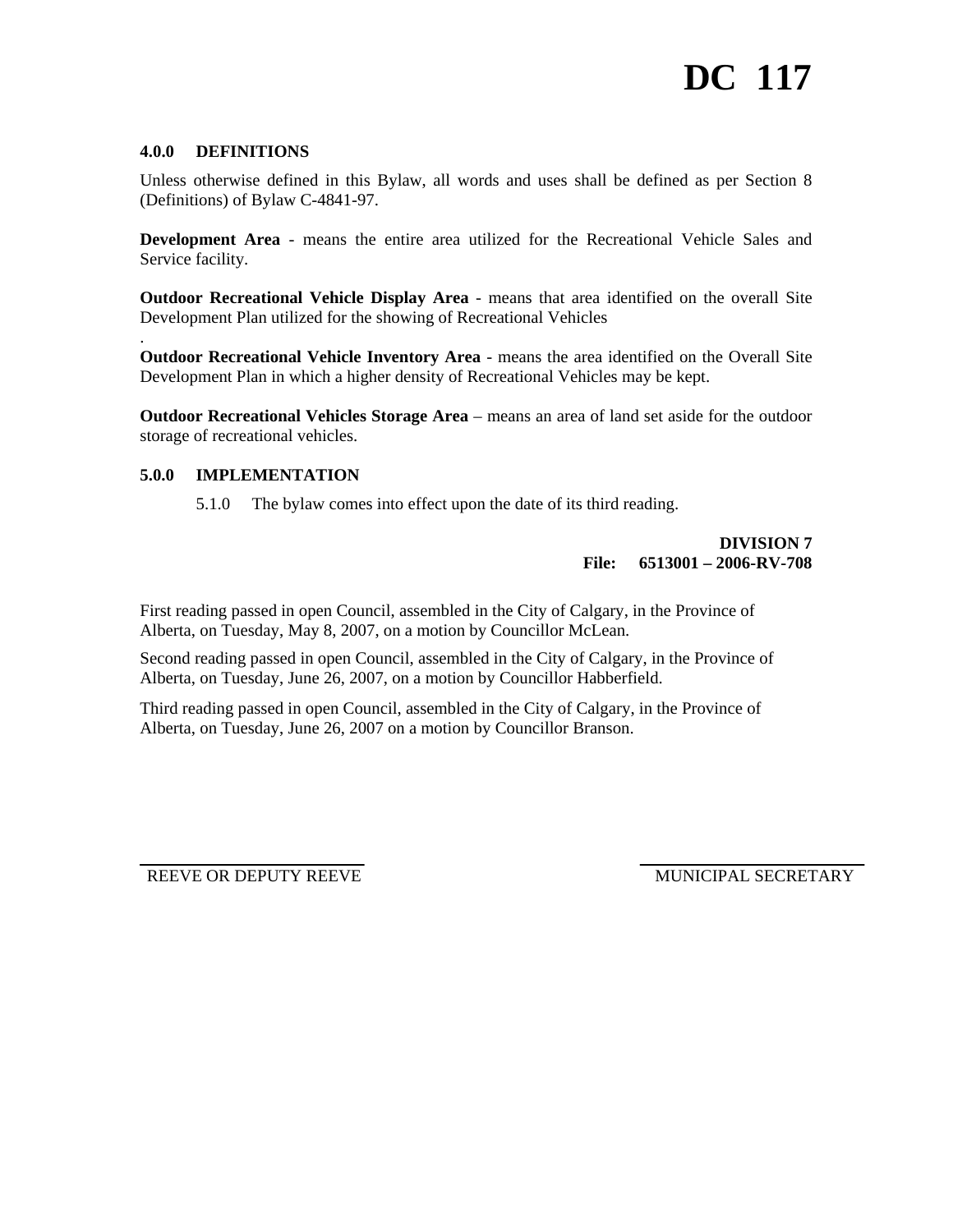# **4.0.0 DEFINITIONS**

.

Unless otherwise defined in this Bylaw, all words and uses shall be defined as per Section 8 (Definitions) of Bylaw C-4841-97.

**Development Area** - means the entire area utilized for the Recreational Vehicle Sales and Service facility.

**Outdoor Recreational Vehicle Display Area** - means that area identified on the overall Site Development Plan utilized for the showing of Recreational Vehicles

**Outdoor Recreational Vehicle Inventory Area** - means the area identified on the Overall Site Development Plan in which a higher density of Recreational Vehicles may be kept.

**Outdoor Recreational Vehicles Storage Area** – means an area of land set aside for the outdoor storage of recreational vehicles.

#### **5.0.0 IMPLEMENTATION**

5.1.0 The bylaw comes into effect upon the date of its third reading.

#### **DIVISION 7 File: 6513001 – 2006-RV-708**

First reading passed in open Council, assembled in the City of Calgary, in the Province of Alberta, on Tuesday, May 8, 2007, on a motion by Councillor McLean.

Second reading passed in open Council, assembled in the City of Calgary, in the Province of Alberta, on Tuesday, June 26, 2007, on a motion by Councillor Habberfield.

Third reading passed in open Council, assembled in the City of Calgary, in the Province of Alberta, on Tuesday, June 26, 2007 on a motion by Councillor Branson.

REEVE OR DEPUTY REEVE MUNICIPAL SECRETARY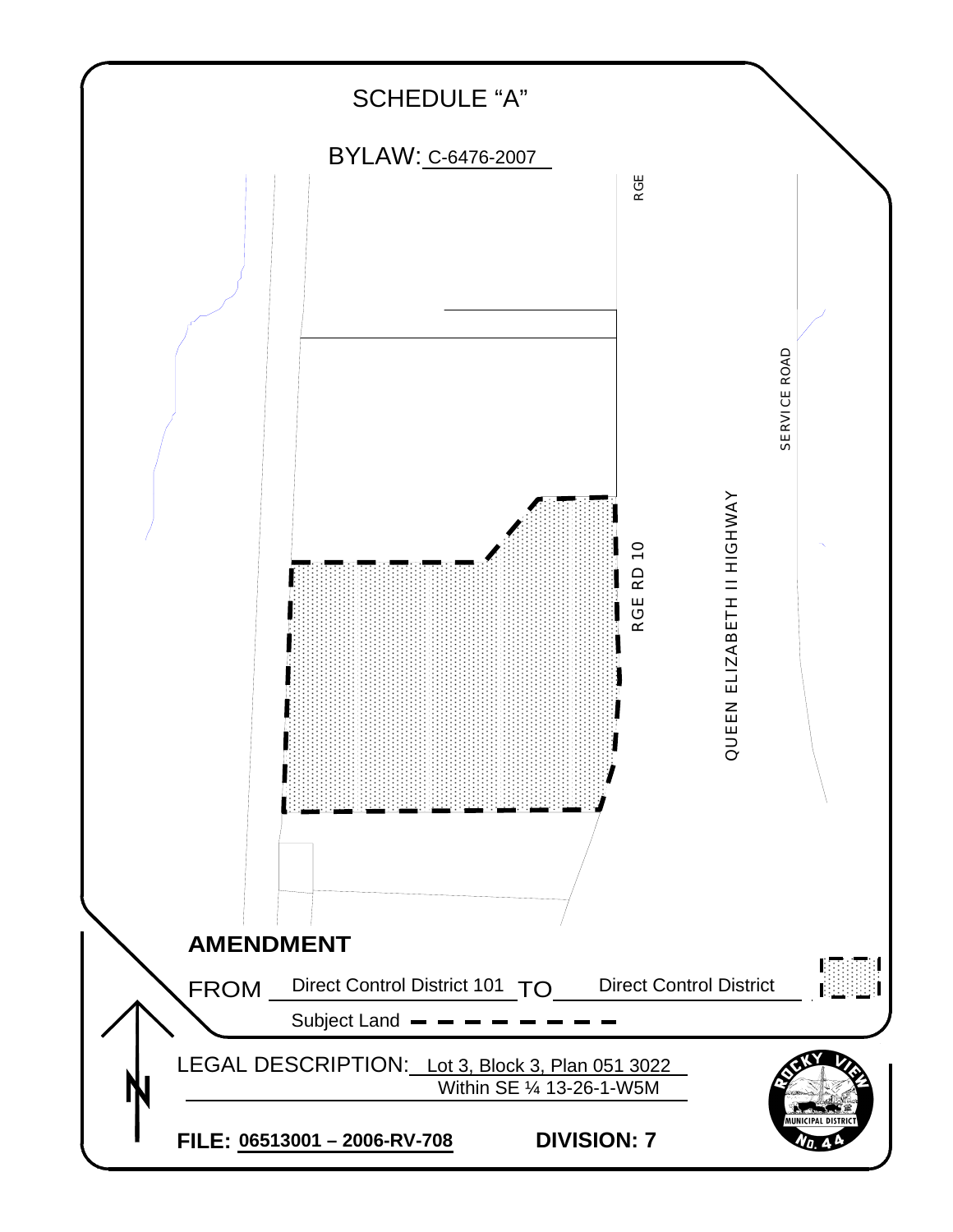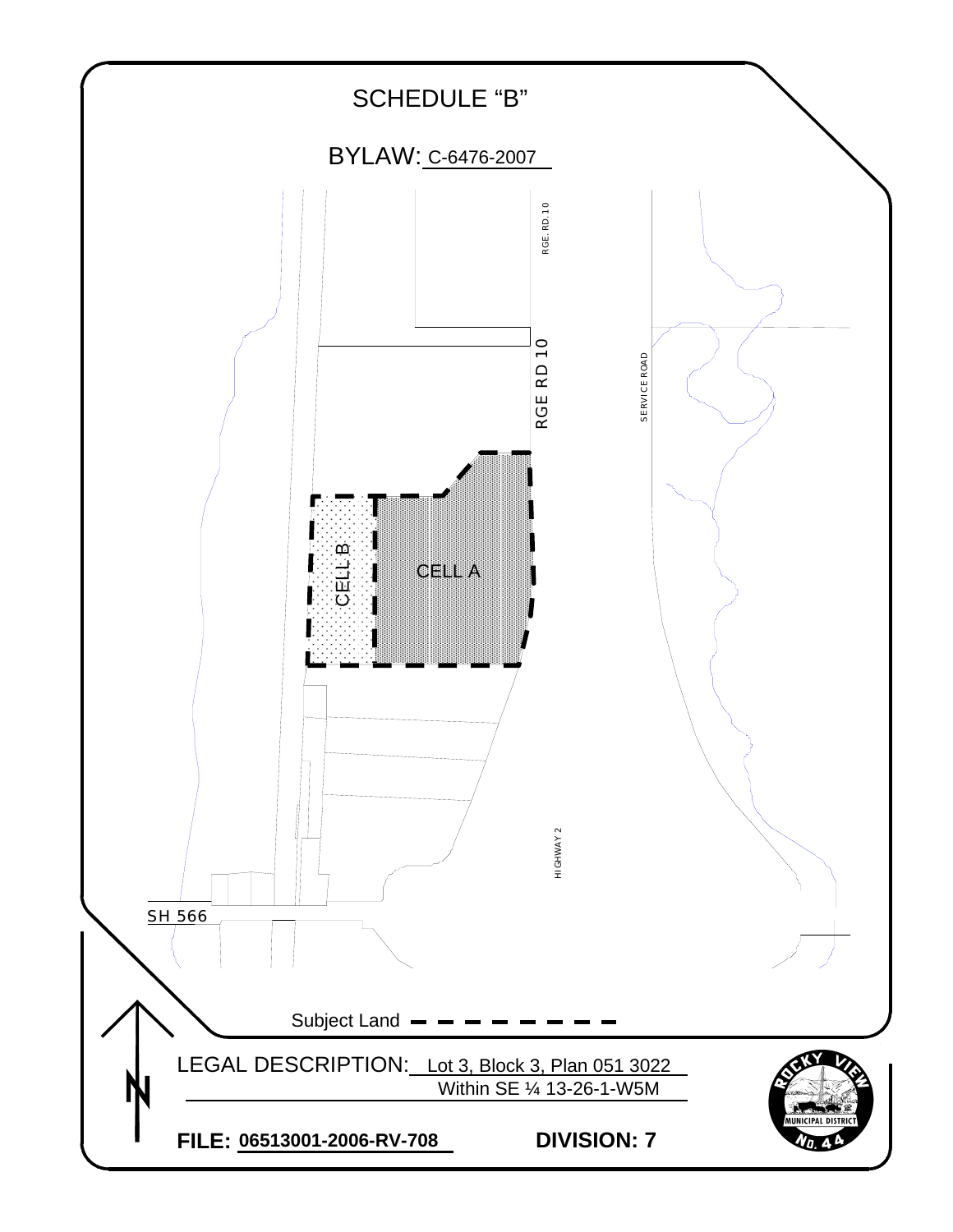